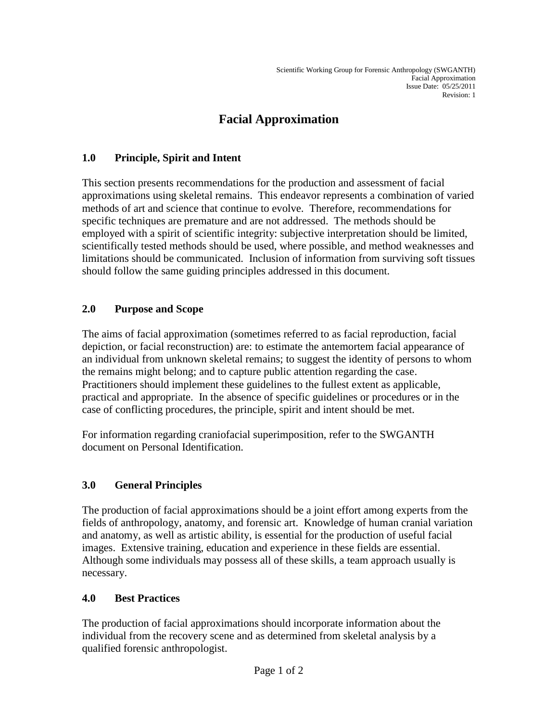# **Facial Approximation**

#### **1.0 Principle, Spirit and Intent**

This section presents recommendations for the production and assessment of facial approximations using skeletal remains. This endeavor represents a combination of varied methods of art and science that continue to evolve. Therefore, recommendations for specific techniques are premature and are not addressed. The methods should be employed with a spirit of scientific integrity: subjective interpretation should be limited, scientifically tested methods should be used, where possible, and method weaknesses and limitations should be communicated. Inclusion of information from surviving soft tissues should follow the same guiding principles addressed in this document.

#### **2.0 Purpose and Scope**

The aims of facial approximation (sometimes referred to as facial reproduction, facial depiction, or facial reconstruction) are: to estimate the antemortem facial appearance of an individual from unknown skeletal remains; to suggest the identity of persons to whom the remains might belong; and to capture public attention regarding the case. Practitioners should implement these guidelines to the fullest extent as applicable, practical and appropriate. In the absence of specific guidelines or procedures or in the case of conflicting procedures, the principle, spirit and intent should be met.

For information regarding craniofacial superimposition, refer to the SWGANTH document on Personal Identification.

# **3.0 General Principles**

The production of facial approximations should be a joint effort among experts from the fields of anthropology, anatomy, and forensic art. Knowledge of human cranial variation and anatomy, as well as artistic ability, is essential for the production of useful facial images. Extensive training, education and experience in these fields are essential. Although some individuals may possess all of these skills, a team approach usually is necessary.

#### **4.0 Best Practices**

The production of facial approximations should incorporate information about the individual from the recovery scene and as determined from skeletal analysis by a qualified forensic anthropologist.